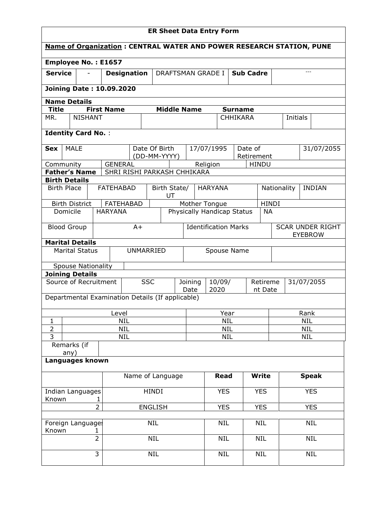| <b>ER Sheet Data Entry Form</b>                                                                                                   |                     |                                         |                          |                             |                                         |             |                                        |                                        |                     |                                           |              |             |               |            |  |
|-----------------------------------------------------------------------------------------------------------------------------------|---------------------|-----------------------------------------|--------------------------|-----------------------------|-----------------------------------------|-------------|----------------------------------------|----------------------------------------|---------------------|-------------------------------------------|--------------|-------------|---------------|------------|--|
| <b>Name of Organization: CENTRAL WATER AND POWER RESEARCH STATION, PUNE</b>                                                       |                     |                                         |                          |                             |                                         |             |                                        |                                        |                     |                                           |              |             |               |            |  |
| Employee No.: E1657                                                                                                               |                     |                                         |                          |                             |                                         |             |                                        |                                        |                     |                                           |              |             |               |            |  |
| <b>Service</b>                                                                                                                    |                     | <b>Designation</b><br>DRAFTSMAN GRADE I |                          |                             |                                         |             |                                        |                                        |                     | <b>Sub Cadre</b>                          |              |             | $---$         |            |  |
| <b>Joining Date: 10.09.2020</b>                                                                                                   |                     |                                         |                          |                             |                                         |             |                                        |                                        |                     |                                           |              |             |               |            |  |
| <b>Name Details</b>                                                                                                               |                     |                                         |                          |                             |                                         |             |                                        |                                        |                     |                                           |              |             |               |            |  |
| <b>First Name</b><br><b>Middle Name</b><br><b>Title</b><br><b>Surname</b><br><b>NISHANT</b><br><b>CHHIKARA</b><br>MR.<br>Initials |                     |                                         |                          |                             |                                         |             |                                        |                                        |                     |                                           |              |             |               |            |  |
|                                                                                                                                   |                     |                                         |                          |                             |                                         |             |                                        |                                        |                     |                                           |              |             |               |            |  |
| <b>Identity Card No.:</b>                                                                                                         |                     |                                         |                          |                             |                                         |             |                                        |                                        |                     |                                           |              |             |               |            |  |
| <b>MALE</b><br><b>Sex</b>                                                                                                         |                     |                                         |                          |                             | Date Of Birth                           |             |                                        | 17/07/1995                             |                     | Date of                                   |              |             |               | 31/07/2055 |  |
|                                                                                                                                   |                     |                                         |                          |                             | (DD-MM-YYYY)                            |             |                                        |                                        |                     | Retirement                                |              |             |               |            |  |
| Community<br><b>Father's Name</b>                                                                                                 |                     | <b>GENERAL</b>                          |                          |                             | SHRI RISHI PARKASH CHHIKARA             |             |                                        | Religion                               |                     | <b>HINDU</b>                              |              |             |               |            |  |
| <b>Birth Details</b>                                                                                                              |                     |                                         |                          |                             |                                         |             |                                        |                                        |                     |                                           |              |             |               |            |  |
| <b>Birth Place</b>                                                                                                                |                     | <b>FATEHABAD</b>                        |                          |                             | Birth State/<br>UT                      |             |                                        | <b>HARYANA</b>                         |                     |                                           |              | Nationality | <b>INDIAN</b> |            |  |
| <b>Birth District</b>                                                                                                             |                     |                                         | <b>FATEHABAD</b>         |                             |                                         |             |                                        | Mother Tongue                          |                     |                                           | <b>HINDI</b> |             |               |            |  |
| <b>HARYANA</b><br>Domicile                                                                                                        |                     |                                         |                          |                             | Physically Handicap Status<br><b>NA</b> |             |                                        |                                        |                     |                                           |              |             |               |            |  |
| <b>Blood Group</b><br>$A+$                                                                                                        |                     |                                         |                          | <b>Identification Marks</b> |                                         |             |                                        |                                        |                     | <b>SCAR UNDER RIGHT</b><br><b>EYEBROW</b> |              |             |               |            |  |
| <b>Marital Details</b>                                                                                                            |                     |                                         |                          |                             |                                         |             |                                        |                                        |                     |                                           |              |             |               |            |  |
| <b>Marital Status</b>                                                                                                             |                     |                                         | UNMARRIED                |                             |                                         | Spouse Name |                                        |                                        |                     |                                           |              |             |               |            |  |
| <b>Spouse Nationality</b>                                                                                                         |                     |                                         |                          |                             |                                         |             |                                        |                                        |                     |                                           |              |             |               |            |  |
| <b>Joining Details</b>                                                                                                            |                     |                                         |                          |                             |                                         |             |                                        |                                        |                     |                                           |              |             |               |            |  |
| Source of Recruitment                                                                                                             |                     |                                         |                          | <b>SSC</b>                  | Joining<br>10/09/<br>2020<br>Date       |             |                                        |                                        | Retireme<br>nt Date |                                           |              | 31/07/2055  |               |            |  |
| Departmental Examination Details (If applicable)                                                                                  |                     |                                         |                          |                             |                                         |             |                                        |                                        |                     |                                           |              |             |               |            |  |
|                                                                                                                                   |                     | Level                                   |                          |                             |                                         |             |                                        | Year                                   |                     |                                           |              |             | Rank          |            |  |
| $\mathbf{1}$                                                                                                                      |                     |                                         | <b>NIL</b>               |                             |                                         |             | <b>NIL</b><br><b>NIL</b><br><b>NIL</b> |                                        |                     |                                           |              |             |               |            |  |
| $\overline{2}$<br>$\overline{3}$                                                                                                  |                     |                                         | <b>NIL</b><br><b>NIL</b> |                             |                                         |             |                                        | <b>NIL</b><br><b>NIL</b><br><b>NIL</b> |                     |                                           |              |             |               |            |  |
| Remarks (if                                                                                                                       |                     |                                         |                          |                             |                                         |             |                                        |                                        |                     |                                           |              |             |               |            |  |
| any)<br>Languages known                                                                                                           |                     |                                         |                          |                             |                                         |             |                                        |                                        |                     |                                           |              |             |               |            |  |
| Name of Language                                                                                                                  |                     |                                         |                          |                             | Read                                    |             |                                        | <b>Write</b>                           |                     |                                           | <b>Speak</b> |             |               |            |  |
| Indian Languages                                                                                                                  |                     |                                         | HINDI                    |                             |                                         |             | <b>YES</b>                             |                                        |                     | <b>YES</b>                                |              |             | <b>YES</b>    |            |  |
| Known<br>1<br>$\overline{2}$<br><b>ENGLISH</b>                                                                                    |                     |                                         |                          |                             |                                         | <b>YES</b>  |                                        |                                        | <b>YES</b>          | <b>YES</b>                                |              |             |               |            |  |
| Foreign Languages                                                                                                                 |                     |                                         |                          | <b>NIL</b>                  |                                         |             |                                        | <b>NIL</b>                             |                     |                                           | <b>NIL</b>   |             |               | <b>NIL</b> |  |
| Known                                                                                                                             | 1<br>$\overline{2}$ |                                         |                          | <b>NIL</b>                  |                                         |             |                                        | <b>NIL</b>                             |                     |                                           | <b>NIL</b>   |             |               | <b>NIL</b> |  |
|                                                                                                                                   |                     |                                         |                          |                             |                                         |             |                                        |                                        |                     | <b>NIL</b>                                |              |             |               |            |  |
|                                                                                                                                   | 3                   | <b>NIL</b>                              |                          |                             |                                         | NIL         |                                        |                                        |                     |                                           |              | <b>NIL</b>  |               |            |  |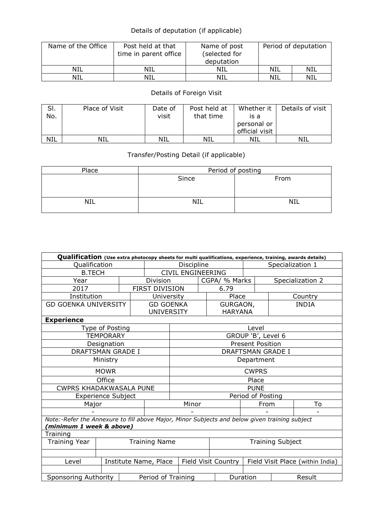## Details of deputation (if applicable)

| Name of the Office | Post held at that<br>time in parent office | Name of post<br>(selected for<br>deputation | Period of deputation |     |  |
|--------------------|--------------------------------------------|---------------------------------------------|----------------------|-----|--|
| NIL                | NIL                                        | NIL                                         | NIL                  | NIL |  |
| NIL                | NIL                                        | NIL                                         | NIL                  | NIL |  |

## Details of Foreign Visit

| SI.<br>No. | Place of Visit | Date of<br>visit | Post held at<br>that time | Whether it<br>is a<br>personal or<br>official visit | Details of visit |
|------------|----------------|------------------|---------------------------|-----------------------------------------------------|------------------|
| <b>NIL</b> | NIL            | NIL              | NIL                       | NIL                                                 | NIL              |

## Transfer/Posting Detail (if applicable)

| Place      | Period of posting |            |  |  |  |  |  |
|------------|-------------------|------------|--|--|--|--|--|
|            | Since             | From       |  |  |  |  |  |
| <b>NIL</b> | NIL               | <b>NIL</b> |  |  |  |  |  |

| Qualification (Use extra photocopy sheets for multi qualifications, experience, training, awards details) |                           |                    |                         |                          |  |                                  |                          |                  |              |  |
|-----------------------------------------------------------------------------------------------------------|---------------------------|--------------------|-------------------------|--------------------------|--|----------------------------------|--------------------------|------------------|--------------|--|
| Qualification                                                                                             |                           |                    |                         | Discipline               |  |                                  |                          | Specialization 1 |              |  |
| <b>B.TECH</b>                                                                                             |                           |                    |                         | <b>CIVIL ENGINEERING</b> |  |                                  |                          |                  |              |  |
| Year                                                                                                      |                           |                    | Division                |                          |  | CGPA/ % Marks                    |                          | Specialization 2 |              |  |
| 2017                                                                                                      |                           |                    | <b>FIRST DIVISION</b>   |                          |  | 6.79                             |                          |                  |              |  |
| Institution                                                                                               |                           |                    | University              |                          |  | Place                            |                          |                  | Country      |  |
| <b>GD GOENKA UNIVERSITY</b>                                                                               |                           |                    | <b>GD GOENKA</b>        |                          |  | GURGAON,                         |                          |                  | <b>INDIA</b> |  |
|                                                                                                           |                           |                    | <b>UNIVERSITY</b>       |                          |  | <b>HARYANA</b>                   |                          |                  |              |  |
| <b>Experience</b>                                                                                         |                           |                    |                         |                          |  |                                  |                          |                  |              |  |
|                                                                                                           | Type of Posting           |                    |                         |                          |  |                                  | Level                    |                  |              |  |
|                                                                                                           | <b>TEMPORARY</b>          |                    |                         |                          |  |                                  | GROUP 'B', Level 6       |                  |              |  |
|                                                                                                           | Designation               |                    |                         |                          |  |                                  | <b>Present Position</b>  |                  |              |  |
| <b>DRAFTSMAN GRADE I</b>                                                                                  |                           |                    |                         |                          |  |                                  | <b>DRAFTSMAN GRADE I</b> |                  |              |  |
| Ministry                                                                                                  |                           |                    |                         | Department               |  |                                  |                          |                  |              |  |
|                                                                                                           | <b>MOWR</b>               |                    |                         | <b>CWPRS</b>             |  |                                  |                          |                  |              |  |
|                                                                                                           | Office                    |                    |                         |                          |  |                                  | Place                    |                  |              |  |
| <b>CWPRS KHADAKWASALA PUNE</b>                                                                            |                           |                    |                         | <b>PUNE</b>              |  |                                  |                          |                  |              |  |
|                                                                                                           | <b>Experience Subject</b> |                    |                         | Period of Posting        |  |                                  |                          |                  |              |  |
| Major                                                                                                     |                           |                    |                         | Minor                    |  |                                  | From                     |                  | To           |  |
|                                                                                                           |                           |                    |                         |                          |  |                                  |                          |                  |              |  |
| Note:-Refer the Annexure to fill above Major, Minor Subjects and below given training subject             |                           |                    |                         |                          |  |                                  |                          |                  |              |  |
| (minimum 1 week & above)                                                                                  |                           |                    |                         |                          |  |                                  |                          |                  |              |  |
| Training                                                                                                  |                           |                    |                         |                          |  |                                  |                          |                  |              |  |
| <b>Training Year</b><br><b>Training Name</b>                                                              |                           |                    | <b>Training Subject</b> |                          |  |                                  |                          |                  |              |  |
|                                                                                                           |                           |                    |                         |                          |  |                                  |                          |                  |              |  |
| Institute Name, Place<br>Level                                                                            |                           |                    | Field Visit Country     |                          |  | Field Visit Place (within India) |                          |                  |              |  |
|                                                                                                           |                           |                    |                         |                          |  |                                  |                          |                  |              |  |
| Sponsoring Authority                                                                                      |                           | Period of Training |                         |                          |  | Duration                         |                          | Result           |              |  |